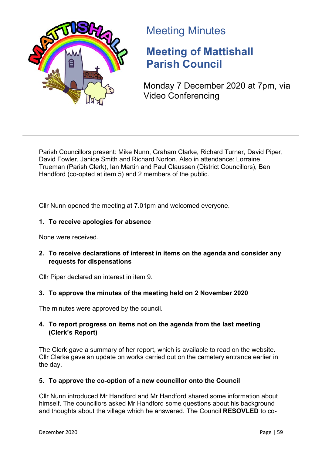

# Meeting Minutes

# **Meeting of Mattishall Parish Council**

Monday 7 December 2020 at 7pm, via Video Conferencing

Parish Councillors present: Mike Nunn, Graham Clarke, Richard Turner, David Piper, David Fowler, Janice Smith and Richard Norton. Also in attendance: Lorraine Trueman (Parish Clerk), Ian Martin and Paul Claussen (District Councillors), Ben Handford (co-opted at item 5) and 2 members of the public.

Cllr Nunn opened the meeting at 7.01pm and welcomed everyone.

# **1. To receive apologies for absence**

None were received.

# **2. To receive declarations of interest in items on the agenda and consider any requests for dispensations**

Cllr Piper declared an interest in item 9.

# **3. To approve the minutes of the meeting held on 2 November 2020**

The minutes were approved by the council.

# **4. To report progress on items not on the agenda from the last meeting (Clerk's Report)**

The Clerk gave a summary of her report, which is available to read on the website. Cllr Clarke gave an update on works carried out on the cemetery entrance earlier in the day.

# **5. To approve the co-option of a new councillor onto the Council**

Cllr Nunn introduced Mr Handford and Mr Handford shared some information about himself. The councillors asked Mr Handford some questions about his background and thoughts about the village which he answered. The Council **RESOVLED** to co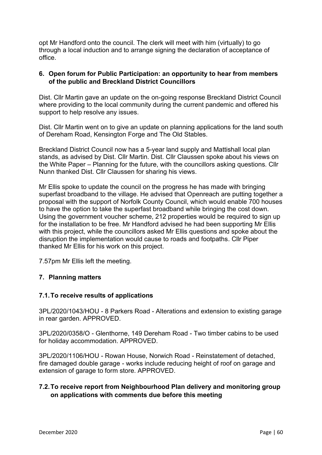opt Mr Handford onto the council. The clerk will meet with him (virtually) to go through a local induction and to arrange signing the declaration of acceptance of office.

# **6. Open forum for Public Participation: an opportunity to hear from members of the public and Breckland District Councillors**

Dist. Cllr Martin gave an update on the on-going response Breckland District Council where providing to the local community during the current pandemic and offered his support to help resolve any issues.

Dist. Cllr Martin went on to give an update on planning applications for the land south of Dereham Road, Kensington Forge and The Old Stables.

Breckland District Council now has a 5-year land supply and Mattishall local plan stands, as advised by Dist. Cllr Martin. Dist. Cllr Claussen spoke about his views on the White Paper – Planning for the future, with the councillors asking questions. Cllr Nunn thanked Dist. Cllr Claussen for sharing his views.

Mr Ellis spoke to update the council on the progress he has made with bringing superfast broadband to the village. He advised that Openreach are putting together a proposal with the support of Norfolk County Council, which would enable 700 houses to have the option to take the superfast broadband while bringing the cost down. Using the government voucher scheme, 212 properties would be required to sign up for the installation to be free. Mr Handford advised he had been supporting Mr Ellis with this project, while the councillors asked Mr Ellis questions and spoke about the disruption the implementation would cause to roads and footpaths. Cllr Piper thanked Mr Ellis for his work on this project.

7.57pm Mr Ellis left the meeting.

## **7. Planning matters**

## **7.1.To receive results of applications**

3PL/2020/1043/HOU - 8 Parkers Road - Alterations and extension to existing garage in rear garden. APPROVED.

3PL/2020/0358/O - Glenthorne, 149 Dereham Road - Two timber cabins to be used for holiday accommodation. APPROVED.

3PL/2020/1106/HOU - Rowan House, Norwich Road - Reinstatement of detached, fire damaged double garage - works include reducing height of roof on garage and extension of garage to form store. APPROVED.

# **7.2.To receive report from Neighbourhood Plan delivery and monitoring group on applications with comments due before this meeting**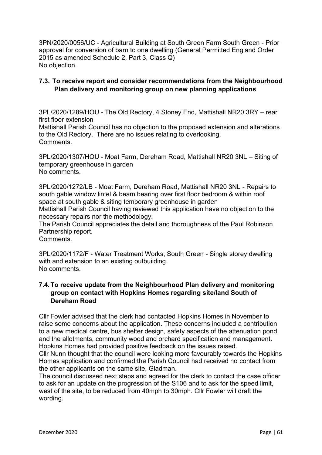3PN/2020/0056/UC - Agricultural Building at South Green Farm South Green - Prior approval for conversion of barn to one dwelling (General Permitted England Order 2015 as amended Schedule 2, Part 3, Class Q) No objection.

# **7.3. To receive report and consider recommendations from the Neighbourhood Plan delivery and monitoring group on new planning applications**

3PL/2020/1289/HOU - The Old Rectory, 4 Stoney End, Mattishall NR20 3RY – rear first floor extension Mattishall Parish Council has no objection to the proposed extension and alterations to the Old Rectory. There are no issues relating to overlooking. Comments.

3PL/2020/1307/HOU - Moat Farm, Dereham Road, Mattishall NR20 3NL – Siting of temporary greenhouse in garden No comments.

3PL/2020/1272/LB - Moat Farm, Dereham Road, Mattishall NR20 3NL - Repairs to south gable window lintel & beam bearing over first floor bedroom & within roof space at south gable & siting temporary greenhouse in garden Mattishall Parish Council having reviewed this application have no objection to the

necessary repairs nor the methodology.

The Parish Council appreciates the detail and thoroughness of the Paul Robinson Partnership report.

Comments.

3PL/2020/1172/F - Water Treatment Works, South Green - Single storey dwelling with and extension to an existing outbuilding. No comments.

# **7.4.To receive update from the Neighbourhood Plan delivery and monitoring group on contact with Hopkins Homes regarding site/land South of Dereham Road**

Cllr Fowler advised that the clerk had contacted Hopkins Homes in November to raise some concerns about the application. These concerns included a contribution to a new medical centre, bus shelter design, safety aspects of the attenuation pond, and the allotments, community wood and orchard specification and management. Hopkins Homes had provided positive feedback on the issues raised.

Cllr Nunn thought that the council were looking more favourably towards the Hopkins Homes application and confirmed the Parish Council had received no contact from the other applicants on the same site, Gladman.

The council discussed next steps and agreed for the clerk to contact the case officer to ask for an update on the progression of the S106 and to ask for the speed limit, west of the site, to be reduced from 40mph to 30mph. Cllr Fowler will draft the wording.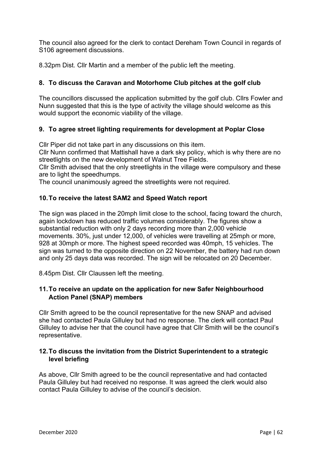The council also agreed for the clerk to contact Dereham Town Council in regards of S106 agreement discussions.

8.32pm Dist. Cllr Martin and a member of the public left the meeting.

# **8. To discuss the Caravan and Motorhome Club pitches at the golf club**

The councillors discussed the application submitted by the golf club. Cllrs Fowler and Nunn suggested that this is the type of activity the village should welcome as this would support the economic viability of the village.

# **9. To agree street lighting requirements for development at Poplar Close**

Cllr Piper did not take part in any discussions on this item.

Cllr Nunn confirmed that Mattishall have a dark sky policy, which is why there are no streetlights on the new development of Walnut Tree Fields.

Cllr Smith advised that the only streetlights in the village were compulsory and these are to light the speedhumps.

The council unanimously agreed the streetlights were not required.

# **10.To receive the latest SAM2 and Speed Watch report**

The sign was placed in the 20mph limit close to the school, facing toward the church, again lockdown has reduced traffic volumes considerably. The figures show a substantial reduction with only 2 days recording more than 2,000 vehicle movements. 30%, just under 12,000, of vehicles were travelling at 25mph or more, 928 at 30mph or more. The highest speed recorded was 40mph, 15 vehicles. The sign was turned to the opposite direction on 22 November, the battery had run down and only 25 days data was recorded. The sign will be relocated on 20 December.

8.45pm Dist. Cllr Claussen left the meeting.

# **11.To receive an update on the application for new Safer Neighbourhood Action Panel (SNAP) members**

Cllr Smith agreed to be the council representative for the new SNAP and advised she had contacted Paula Gilluley but had no response. The clerk will contact Paul Gilluley to advise her that the council have agree that Cllr Smith will be the council's representative.

# **12.To discuss the invitation from the District Superintendent to a strategic level briefing**

As above, Cllr Smith agreed to be the council representative and had contacted Paula Gilluley but had received no response. It was agreed the clerk would also contact Paula Gilluley to advise of the council's decision.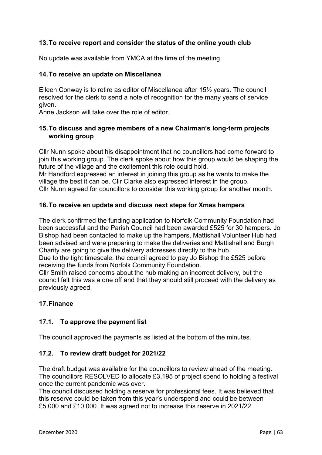# **13.To receive report and consider the status of the online youth club**

No update was available from YMCA at the time of the meeting.

### **14.To receive an update on Miscellanea**

Eileen Conway is to retire as editor of Miscellanea after 15½ years. The council resolved for the clerk to send a note of recognition for the many years of service given.

Anne Jackson will take over the role of editor.

# **15.To discuss and agree members of a new Chairman's long-term projects working group**

Cllr Nunn spoke about his disappointment that no councillors had come forward to join this working group. The clerk spoke about how this group would be shaping the future of the village and the excitement this role could hold.

Mr Handford expressed an interest in joining this group as he wants to make the village the best it can be. Cllr Clarke also expressed interest in the group. Cllr Nunn agreed for councillors to consider this working group for another month.

## **16.To receive an update and discuss next steps for Xmas hampers**

The clerk confirmed the funding application to Norfolk Community Foundation had been successful and the Parish Council had been awarded £525 for 30 hampers. Jo Bishop had been contacted to make up the hampers, Mattishall Volunteer Hub had been advised and were preparing to make the deliveries and Mattishall and Burgh Charity are going to give the delivery addresses directly to the hub.

Due to the tight timescale, the council agreed to pay Jo Bishop the £525 before receiving the funds from Norfolk Community Foundation.

Cllr Smith raised concerns about the hub making an incorrect delivery, but the council felt this was a one off and that they should still proceed with the delivery as previously agreed.

## **17.Finance**

## **17.1. To approve the payment list**

The council approved the payments as listed at the bottom of the minutes.

## **17.2. To review draft budget for 2021/22**

The draft budget was available for the councillors to review ahead of the meeting. The councillors RESOLVED to allocate £3,195 of project spend to holding a festival once the current pandemic was over.

The council discussed holding a reserve for professional fees. It was believed that this reserve could be taken from this year's underspend and could be between £5,000 and £10,000. It was agreed not to increase this reserve in 2021/22.